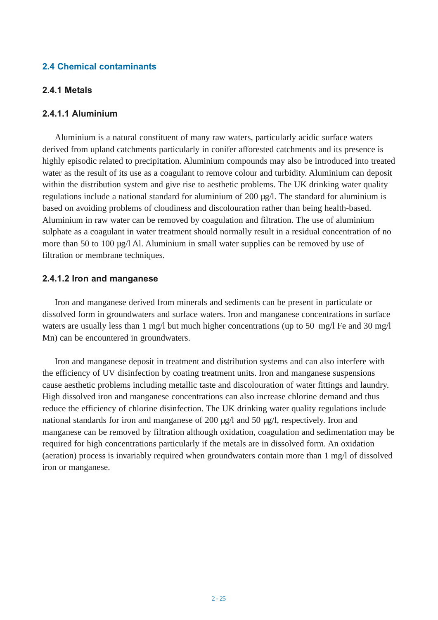# **2.4 Chemical contaminants**

## **2.4.1 Metals**

## **2.4.1.1 Aluminium**

Aluminium is a natural constituent of many raw waters, particularly acidic surface waters derived from upland catchments particularly in conifer afforested catchments and its presence is highly episodic related to precipitation. Aluminium compounds may also be introduced into treated water as the result of its use as a coagulant to remove colour and turbidity. Aluminium can deposit within the distribution system and give rise to aesthetic problems. The UK drinking water quality regulations include a national standard for aluminium of 200 µg/l. The standard for aluminium is based on avoiding problems of cloudiness and discolouration rather than being health-based. Aluminium in raw water can be removed by coagulation and filtration. The use of aluminium sulphate as a coagulant in water treatment should normally result in a residual concentration of no more than 50 to 100 µg/l Al. Aluminium in small water supplies can be removed by use of filtration or membrane techniques.

#### **2.4.1.2 Iron and manganese**

Iron and manganese derived from minerals and sediments can be present in particulate or dissolved form in groundwaters and surface waters. Iron and manganese concentrations in surface waters are usually less than 1 mg/l but much higher concentrations (up to 50 mg/l Fe and 30 mg/l Mn) can be encountered in groundwaters.

Iron and manganese deposit in treatment and distribution systems and can also interfere with the efficiency of UV disinfection by coating treatment units. Iron and manganese suspensions cause aesthetic problems including metallic taste and discolouration of water fittings and laundry. High dissolved iron and manganese concentrations can also increase chlorine demand and thus reduce the efficiency of chlorine disinfection. The UK drinking water quality regulations include national standards for iron and manganese of 200 µg/l and 50 µg/l, respectively. Iron and manganese can be removed by filtration although oxidation, coagulation and sedimentation may be required for high concentrations particularly if the metals are in dissolved form. An oxidation (aeration) process is invariably required when groundwaters contain more than 1 mg/l of dissolved iron or manganese.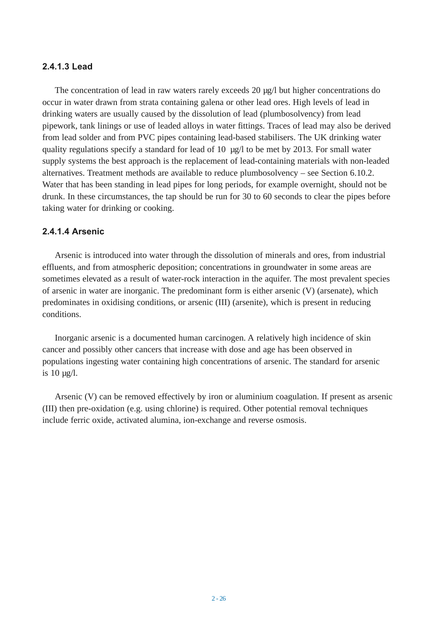## **2.4.1.3 Lead**

The concentration of lead in raw waters rarely exceeds 20  $\mu$ g/l but higher concentrations do occur in water drawn from strata containing galena or other lead ores. High levels of lead in drinking waters are usually caused by the dissolution of lead (plumbosolvency) from lead pipework, tank linings or use of leaded alloys in water fittings. Traces of lead may also be derived from lead solder and from PVC pipes containing lead-based stabilisers. The UK drinking water quality regulations specify a standard for lead of 10 µg/l to be met by 2013. For small water supply systems the best approach is the replacement of lead-containing materials with non-leaded alternatives. Treatment methods are available to reduce plumbosolvency – see Section 6.10.2. Water that has been standing in lead pipes for long periods, for example overnight, should not be drunk. In these circumstances, the tap should be run for 30 to 60 seconds to clear the pipes before taking water for drinking or cooking.

## **2.4.1.4 Arsenic**

Arsenic is introduced into water through the dissolution of minerals and ores, from industrial effluents, and from atmospheric deposition; concentrations in groundwater in some areas are sometimes elevated as a result of water-rock interaction in the aquifer. The most prevalent species of arsenic in water are inorganic. The predominant form is either arsenic (V) (arsenate), which predominates in oxidising conditions, or arsenic (III) (arsenite), which is present in reducing conditions.

Inorganic arsenic is a documented human carcinogen. A relatively high incidence of skin cancer and possibly other cancers that increase with dose and age has been observed in populations ingesting water containing high concentrations of arsenic. The standard for arsenic is  $10 \mu g/l$ .

Arsenic (V) can be removed effectively by iron or aluminium coagulation. If present as arsenic (III) then pre-oxidation (e.g. using chlorine) is required. Other potential removal techniques include ferric oxide, activated alumina, ion-exchange and reverse osmosis.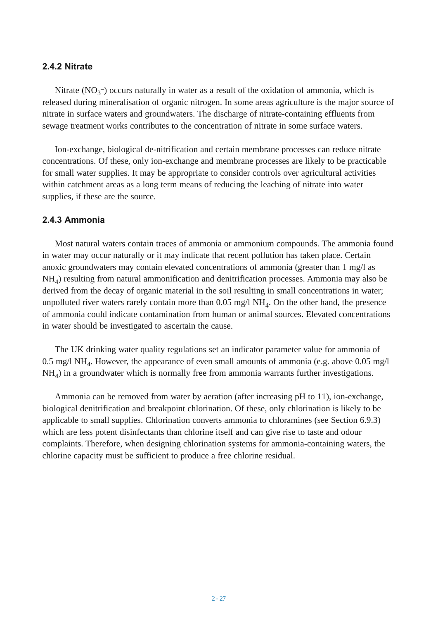#### **2.4.2 Nitrate**

Nitrate  $(NO<sub>3</sub><sup>-</sup>)$  occurs naturally in water as a result of the oxidation of ammonia, which is released during mineralisation of organic nitrogen. In some areas agriculture is the major source of nitrate in surface waters and groundwaters. The discharge of nitrate-containing effluents from sewage treatment works contributes to the concentration of nitrate in some surface waters.

Ion-exchange, biological de-nitrification and certain membrane processes can reduce nitrate concentrations. Of these, only ion-exchange and membrane processes are likely to be practicable for small water supplies. It may be appropriate to consider controls over agricultural activities within catchment areas as a long term means of reducing the leaching of nitrate into water supplies, if these are the source.

## **2.4.3 Ammonia**

Most natural waters contain traces of ammonia or ammonium compounds. The ammonia found in water may occur naturally or it may indicate that recent pollution has taken place. Certain anoxic groundwaters may contain elevated concentrations of ammonia (greater than 1 mg/l as  $NH<sub>4</sub>$ ) resulting from natural ammonification and denitrification processes. Ammonia may also be derived from the decay of organic material in the soil resulting in small concentrations in water; unpolluted river waters rarely contain more than  $0.05 \text{ mg/l NH}_4$ . On the other hand, the presence of ammonia could indicate contamination from human or animal sources. Elevated concentrations in water should be investigated to ascertain the cause.

The UK drinking water quality regulations set an indicator parameter value for ammonia of 0.5 mg/l NH<sub>4</sub>. However, the appearance of even small amounts of ammonia (e.g. above  $0.05 \text{ mg/l}$ ) NH4) in a groundwater which is normally free from ammonia warrants further investigations.

Ammonia can be removed from water by aeration (after increasing pH to 11), ion-exchange, biological denitrification and breakpoint chlorination. Of these, only chlorination is likely to be applicable to small supplies. Chlorination converts ammonia to chloramines (see Section 6.9.3) which are less potent disinfectants than chlorine itself and can give rise to taste and odour complaints. Therefore, when designing chlorination systems for ammonia-containing waters, the chlorine capacity must be sufficient to produce a free chlorine residual.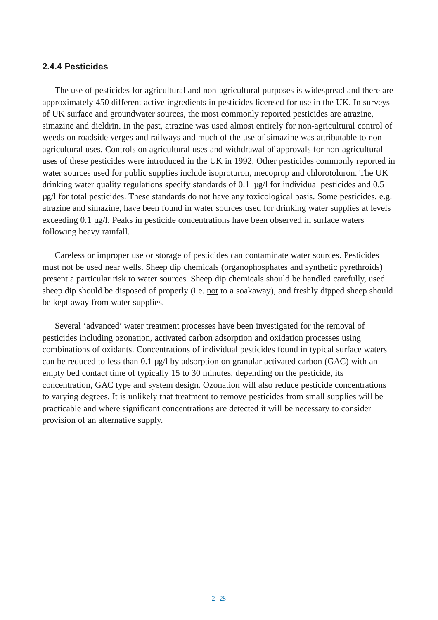#### **2.4.4 Pesticides**

The use of pesticides for agricultural and non-agricultural purposes is widespread and there are approximately 450 different active ingredients in pesticides licensed for use in the UK. In surveys of UK surface and groundwater sources, the most commonly reported pesticides are atrazine, simazine and dieldrin. In the past, atrazine was used almost entirely for non-agricultural control of weeds on roadside verges and railways and much of the use of simazine was attributable to nonagricultural uses. Controls on agricultural uses and withdrawal of approvals for non-agricultural uses of these pesticides were introduced in the UK in 1992. Other pesticides commonly reported in water sources used for public supplies include isoproturon, mecoprop and chlorotoluron. The UK drinking water quality regulations specify standards of 0.1 µg/l for individual pesticides and 0.5 µg/l for total pesticides. These standards do not have any toxicological basis. Some pesticides, e.g. atrazine and simazine, have been found in water sources used for drinking water supplies at levels exceeding 0.1 µg/l. Peaks in pesticide concentrations have been observed in surface waters following heavy rainfall.

Careless or improper use or storage of pesticides can contaminate water sources. Pesticides must not be used near wells. Sheep dip chemicals (organophosphates and synthetic pyrethroids) present a particular risk to water sources. Sheep dip chemicals should be handled carefully, used sheep dip should be disposed of properly (i.e. not to a soakaway), and freshly dipped sheep should be kept away from water supplies.

Several 'advanced' water treatment processes have been investigated for the removal of pesticides including ozonation, activated carbon adsorption and oxidation processes using combinations of oxidants. Concentrations of individual pesticides found in typical surface waters can be reduced to less than 0.1  $\mu$ g/l by adsorption on granular activated carbon (GAC) with an empty bed contact time of typically 15 to 30 minutes, depending on the pesticide, its concentration, GAC type and system design. Ozonation will also reduce pesticide concentrations to varying degrees. It is unlikely that treatment to remove pesticides from small supplies will be practicable and where significant concentrations are detected it will be necessary to consider provision of an alternative supply.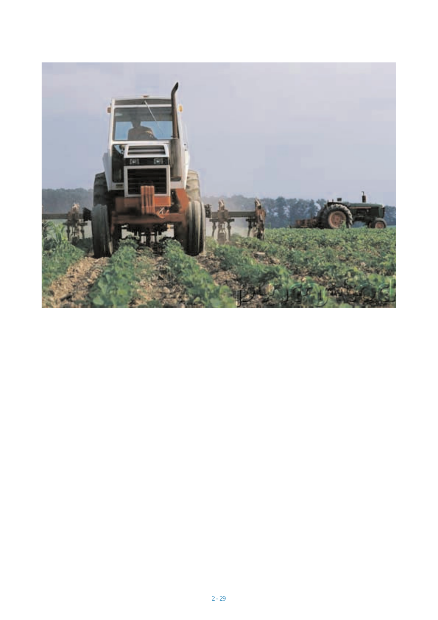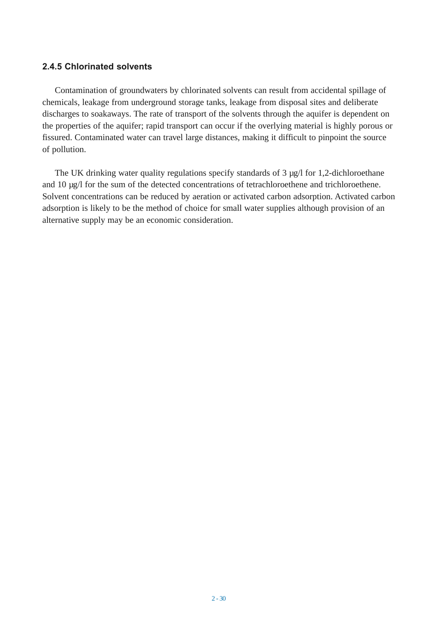# **2.4.5 Chlorinated solvents**

Contamination of groundwaters by chlorinated solvents can result from accidental spillage of chemicals, leakage from underground storage tanks, leakage from disposal sites and deliberate discharges to soakaways. The rate of transport of the solvents through the aquifer is dependent on the properties of the aquifer; rapid transport can occur if the overlying material is highly porous or fissured. Contaminated water can travel large distances, making it difficult to pinpoint the source of pollution.

The UK drinking water quality regulations specify standards of 3  $\mu$ g/l for 1,2-dichloroethane and 10 µg/l for the sum of the detected concentrations of tetrachloroethene and trichloroethene. Solvent concentrations can be reduced by aeration or activated carbon adsorption. Activated carbon adsorption is likely to be the method of choice for small water supplies although provision of an alternative supply may be an economic consideration.